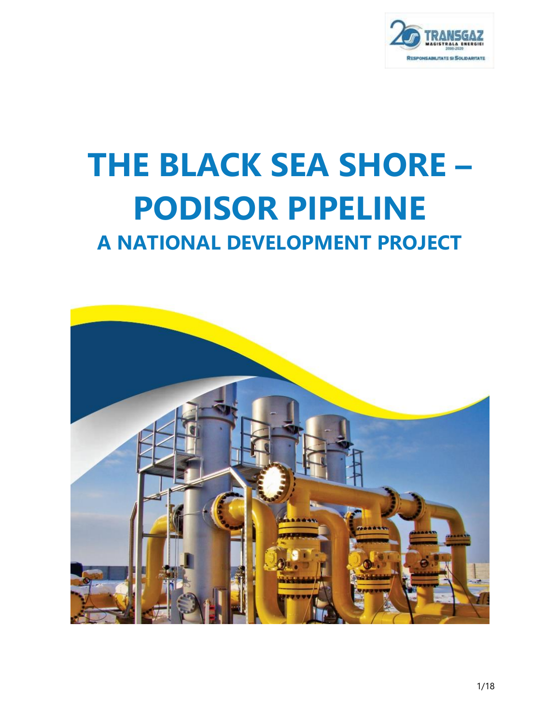

# **THE BLACK SEA SHORE – PODISOR PIPELINE A NATIONAL DEVELOPMENT PROJECT**

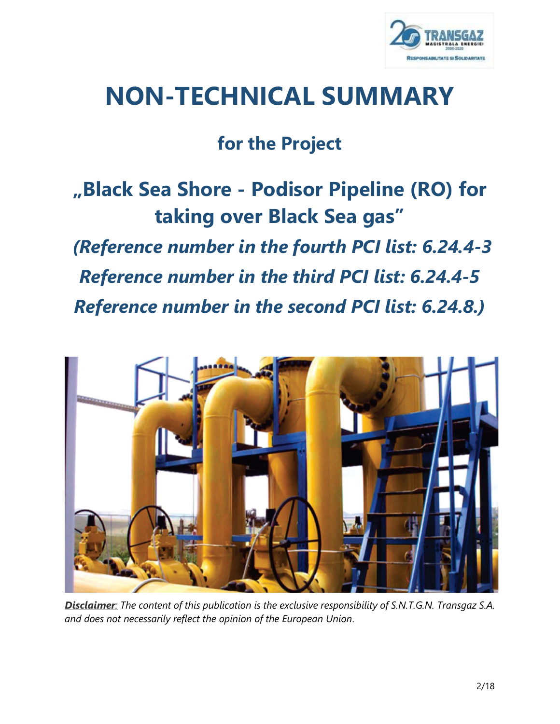

# **NON-TECHNICAL SUMMARY**

# **for the Project**

# **"Black Sea Shore - Podisor Pipeline (RO) for taking over Black Sea gas"**

# *(Reference number in the fourth PCI list: 6.24.4-3*

# *Reference number in the third PCI list: 6.24.4-5*

*Reference number in the second PCI list: 6.24.8.)*



*Disclaimer: The content of this publication is the exclusive responsibility of S.N.T.G.N. Transgaz S.A. and does not necessarily reflect the opinion of the European Union*.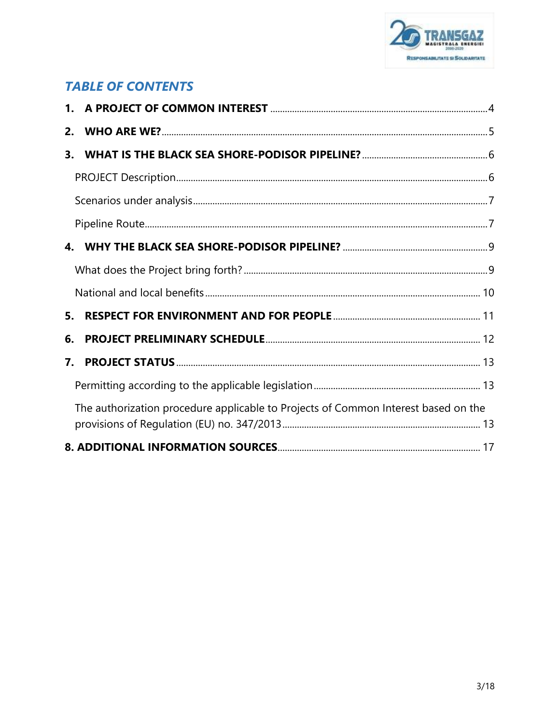

# **TABLE OF CONTENTS**

| 2.               |                                                                                    |  |
|------------------|------------------------------------------------------------------------------------|--|
| 3.               |                                                                                    |  |
|                  |                                                                                    |  |
|                  |                                                                                    |  |
|                  |                                                                                    |  |
|                  |                                                                                    |  |
|                  |                                                                                    |  |
|                  |                                                                                    |  |
| 5.               |                                                                                    |  |
| 6.               |                                                                                    |  |
| $\overline{7}$ . |                                                                                    |  |
|                  |                                                                                    |  |
|                  | The authorization procedure applicable to Projects of Common Interest based on the |  |
|                  |                                                                                    |  |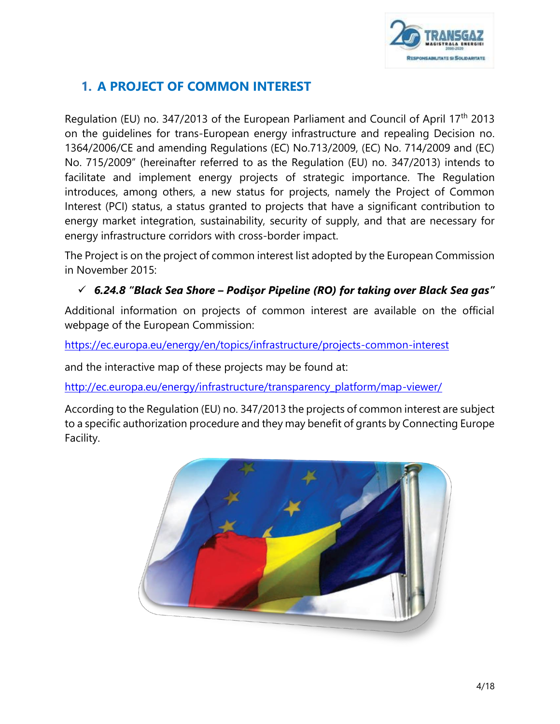

# <span id="page-3-0"></span>**1. A PROJECT OF COMMON INTEREST**

Regulation (EU) no. 347/2013 of the European Parliament and Council of April 17<sup>th</sup> 2013 on the guidelines for trans-European energy infrastructure and repealing Decision no. 1364/2006/CE and amending Regulations (EC) No.713/2009, (EC) No. 714/2009 and (EC) No. 715/2009" (hereinafter referred to as the Regulation (EU) no. 347/2013) intends to facilitate and implement energy projects of strategic importance. The Regulation introduces, among others, a new status for projects, namely the Project of Common Interest (PCI) status, a status granted to projects that have a significant contribution to energy market integration, sustainability, security of supply, and that are necessary for energy infrastructure corridors with cross-border impact.

The Project is on the project of common interest list adopted by the European Commission in November 2015:

# *6.24.8 "Black Sea Shore – Podişor Pipeline (RO) for taking over Black Sea gas"*

Additional information on projects of common interest are available on the official webpage of the European Commission:

<https://ec.europa.eu/energy/en/topics/infrastructure/projects-common-interest>

and the interactive map of these projects may be found at:

[http://ec.europa.eu/energy/infrastructure/transparency\\_platform/map-viewer/](http://ec.europa.eu/energy/infrastructure/transparency_platform/map-viewer/)

According to the Regulation (EU) no. 347/2013 the projects of common interest are subject to a specific authorization procedure and they may benefit of grants by Connecting Europe Facility.

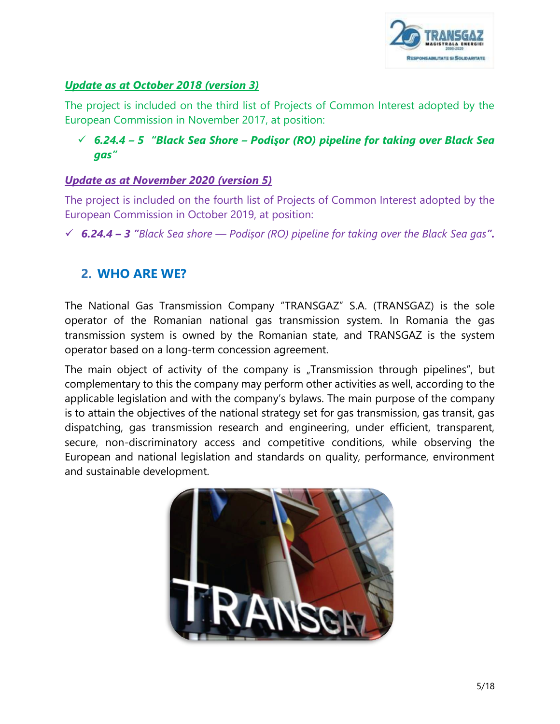

# *Update as at October 2018 (version 3)*

The project is included on the third list of Projects of Common Interest adopted by the European Commission in November 2017, at position:

# *6.24.4 – 5 "Black Sea Shore – Podişor (RO) pipeline for taking over Black Sea gas"*

# *Update as at November 2020 (version 5)*

The project is included on the fourth list of Projects of Common Interest adopted by the European Commission in October 2019, at position:

*6.24.4 – 3 "Black Sea shore — Podișor (RO) pipeline for taking over the Black Sea gas".*

# <span id="page-4-0"></span>**2. WHO ARE WE?**

The National Gas Transmission Company "TRANSGAZ" S.A. (TRANSGAZ) is the sole operator of the Romanian national gas transmission system. In Romania the gas transmission system is owned by the Romanian state, and TRANSGAZ is the system operator based on a long-term concession agreement.

The main object of activity of the company is "Transmission through pipelines", but complementary to this the company may perform other activities as well, according to the applicable legislation and with the company's bylaws. The main purpose of the company is to attain the objectives of the national strategy set for gas transmission, gas transit, gas dispatching, gas transmission research and engineering, under efficient, transparent, secure, non-discriminatory access and competitive conditions, while observing the European and national legislation and standards on quality, performance, environment and sustainable development.

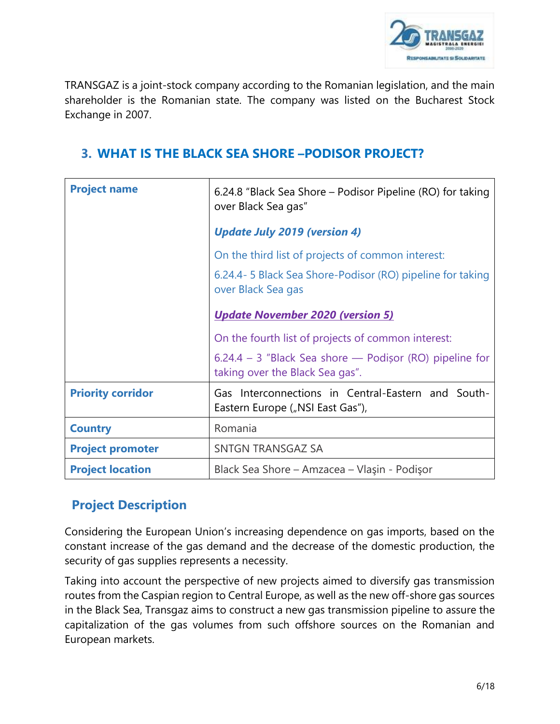

TRANSGAZ is a joint-stock company according to the Romanian legislation, and the main shareholder is the Romanian state. The company was listed on the Bucharest Stock Exchange in 2007.

# <span id="page-5-0"></span>**3. WHAT IS THE BLACK SEA SHORE –PODISOR PROJECT?**

| <b>Project name</b>      | 6.24.8 "Black Sea Shore – Podisor Pipeline (RO) for taking<br>over Black Sea gas"            |  |
|--------------------------|----------------------------------------------------------------------------------------------|--|
|                          | <b>Update July 2019 (version 4)</b>                                                          |  |
|                          | On the third list of projects of common interest:                                            |  |
|                          | 6.24.4 - 5 Black Sea Shore-Podisor (RO) pipeline for taking<br>over Black Sea gas            |  |
|                          | <b>Update November 2020 (version 5)</b>                                                      |  |
|                          | On the fourth list of projects of common interest:                                           |  |
|                          | $6.24.4 - 3$ "Black Sea shore — Podișor (RO) pipeline for<br>taking over the Black Sea gas". |  |
| <b>Priority corridor</b> | Gas Interconnections in Central-Eastern and South-<br>Eastern Europe ("NSI East Gas"),       |  |
| <b>Country</b>           | Romania                                                                                      |  |
| <b>Project promoter</b>  | <b>SNTGN TRANSGAZ SA</b>                                                                     |  |
| <b>Project location</b>  | Black Sea Shore - Amzacea - Vlaşin - Podişor                                                 |  |

# <span id="page-5-1"></span>**Project Description**

Considering the European Union's increasing dependence on gas imports, based on the constant increase of the gas demand and the decrease of the domestic production, the security of gas supplies represents a necessity.

Taking into account the perspective of new projects aimed to diversify gas transmission routes from the Caspian region to Central Europe, as well as the new off-shore gas sources in the Black Sea, Transgaz aims to construct a new gas transmission pipeline to assure the capitalization of the gas volumes from such offshore sources on the Romanian and European markets.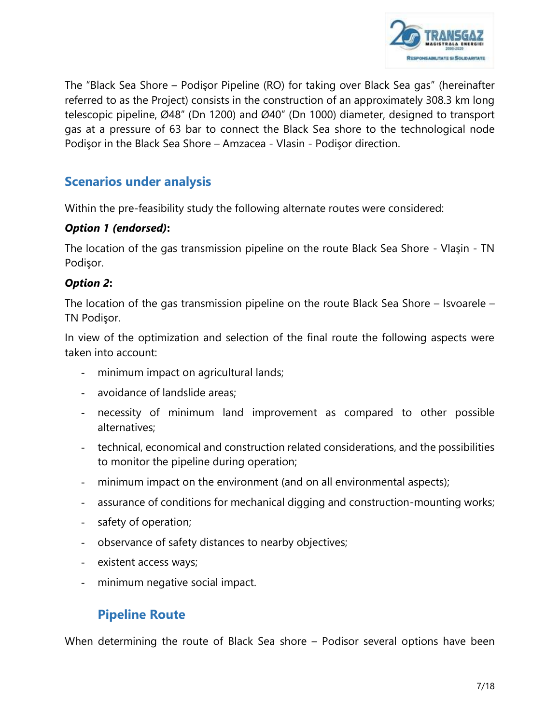

<span id="page-6-0"></span>The "Black Sea Shore – Podişor Pipeline (RO) for taking over Black Sea gas" (hereinafter referred to as the Project) consists in the construction of an approximately 308.3 km long telescopic pipeline, Ø48" (Dn 1200) and Ø40" (Dn 1000) diameter, designed to transport gas at a pressure of 63 bar to connect the Black Sea shore to the technological node Podişor in the Black Sea Shore – Amzacea - Vlasin - Podişor direction.

# **Scenarios under analysis**

Within the pre-feasibility study the following alternate routes were considered:

# *Option 1 (endorsed)***:**

The location of the gas transmission pipeline on the route Black Sea Shore - Vlaşin - TN Podişor.

# *Option 2***:**

The location of the gas transmission pipeline on the route Black Sea Shore – Isvoarele – TN Podişor.

In view of the optimization and selection of the final route the following aspects were taken into account:

- minimum impact on agricultural lands;
- avoidance of landslide areas;
- necessity of minimum land improvement as compared to other possible alternatives;
- technical, economical and construction related considerations, and the possibilities to monitor the pipeline during operation;
- minimum impact on the environment (and on all environmental aspects);
- assurance of conditions for mechanical digging and construction-mounting works;
- safety of operation;
- observance of safety distances to nearby objectives;
- existent access ways;
- minimum negative social impact.

# <span id="page-6-1"></span>**Pipeline Route**

When determining the route of Black Sea shore – Podisor several options have been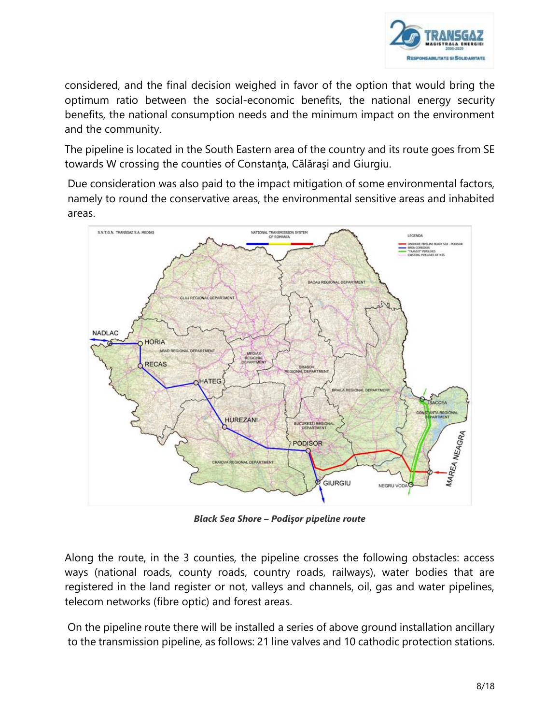

considered, and the final decision weighed in favor of the option that would bring the optimum ratio between the social-economic benefits, the national energy security benefits, the national consumption needs and the minimum impact on the environment and the community.

The pipeline is located in the South Eastern area of the country and its route goes from SE towards W crossing the counties of Constanţa, Călăraşi and Giurgiu.

Due consideration was also paid to the impact mitigation of some environmental factors, namely to round the conservative areas, the environmental sensitive areas and inhabited areas.



*Black Sea Shore – Podişor pipeline route*

Along the route, in the 3 counties, the pipeline crosses the following obstacles: access ways (national roads, county roads, country roads, railways), water bodies that are registered in the land register or not, valleys and channels, oil, gas and water pipelines, telecom networks (fibre optic) and forest areas.

On the pipeline route there will be installed a series of above ground installation ancillary to the transmission pipeline, as follows: 21 line valves and 10 cathodic protection stations.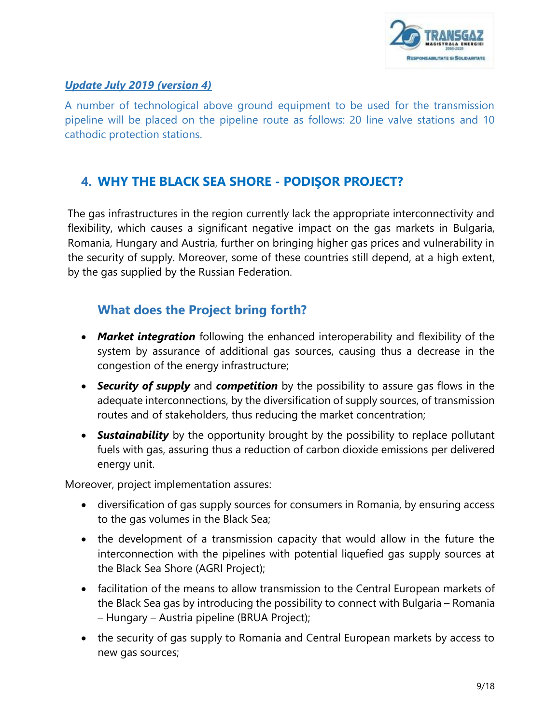

# *Update July 2019 (version 4)*

A number of technological above ground equipment to be used for the transmission pipeline will be placed on the pipeline route as follows: 20 line valve stations and 10 cathodic protection stations.

# <span id="page-8-0"></span>**4. WHY THE BLACK SEA SHORE - PODIŞOR PROJECT?**

The gas infrastructures in the region currently lack the appropriate interconnectivity and flexibility, which causes a significant negative impact on the gas markets in Bulgaria, Romania, Hungary and Austria, further on bringing higher gas prices and vulnerability in the security of supply. Moreover, some of these countries still depend, at a high extent, by the gas supplied by the Russian Federation.

# <span id="page-8-1"></span>**What does the Project bring forth?**

- *Market integration* following the enhanced interoperability and flexibility of the system by assurance of additional gas sources, causing thus a decrease in the congestion of the energy infrastructure;
- *Security of supply* and *competition* by the possibility to assure gas flows in the adequate interconnections, by the diversification of supply sources, of transmission routes and of stakeholders, thus reducing the market concentration;
- *Sustainability* by the opportunity brought by the possibility to replace pollutant fuels with gas, assuring thus a reduction of carbon dioxide emissions per delivered energy unit.

Moreover, project implementation assures:

- diversification of gas supply sources for consumers in Romania, by ensuring access to the gas volumes in the Black Sea;
- the development of a transmission capacity that would allow in the future the interconnection with the pipelines with potential liquefied gas supply sources at the Black Sea Shore (AGRI Project);
- facilitation of the means to allow transmission to the Central European markets of the Black Sea gas by introducing the possibility to connect with Bulgaria – Romania – Hungary – Austria pipeline (BRUA Project);
- the security of gas supply to Romania and Central European markets by access to new gas sources;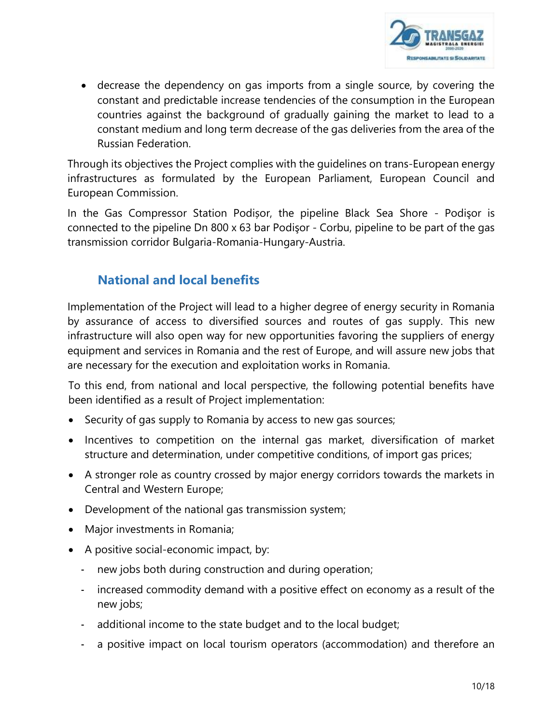

 decrease the dependency on gas imports from a single source, by covering the constant and predictable increase tendencies of the consumption in the European countries against the background of gradually gaining the market to lead to a constant medium and long term decrease of the gas deliveries from the area of the Russian Federation.

Through its objectives the Project complies with the guidelines on trans-European energy infrastructures as formulated by the European Parliament, European Council and European Commission.

In the Gas Compressor Station Podișor, the pipeline Black Sea Shore - Podişor is connected to the pipeline Dn 800 x 63 bar Podişor - Corbu, pipeline to be part of the gas transmission corridor Bulgaria-Romania-Hungary-Austria.

# <span id="page-9-0"></span>**National and local benefits**

Implementation of the Project will lead to a higher degree of energy security in Romania by assurance of access to diversified sources and routes of gas supply. This new infrastructure will also open way for new opportunities favoring the suppliers of energy equipment and services in Romania and the rest of Europe, and will assure new jobs that are necessary for the execution and exploitation works in Romania.

To this end, from national and local perspective, the following potential benefits have been identified as a result of Project implementation:

- Security of gas supply to Romania by access to new gas sources;
- Incentives to competition on the internal gas market, diversification of market structure and determination, under competitive conditions, of import gas prices;
- A stronger role as country crossed by major energy corridors towards the markets in Central and Western Europe;
- Development of the national gas transmission system;
- Major investments in Romania;
- A positive social-economic impact, by:
	- new jobs both during construction and during operation;
	- increased commodity demand with a positive effect on economy as a result of the new jobs;
	- additional income to the state budget and to the local budget;
	- a positive impact on local tourism operators (accommodation) and therefore an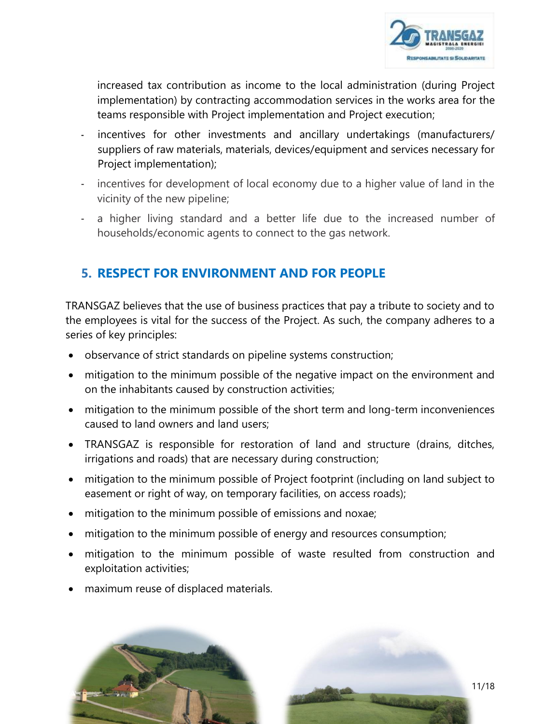

increased tax contribution as income to the local administration (during Project implementation) by contracting accommodation services in the works area for the teams responsible with Project implementation and Project execution;

- incentives for other investments and ancillary undertakings (manufacturers/ suppliers of raw materials, materials, devices/equipment and services necessary for Project implementation);
- incentives for development of local economy due to a higher value of land in the vicinity of the new pipeline;
- a higher living standard and a better life due to the increased number of households/economic agents to connect to the gas network.

# <span id="page-10-0"></span>**5. RESPECT FOR ENVIRONMENT AND FOR PEOPLE**

TRANSGAZ believes that the use of business practices that pay a tribute to society and to the employees is vital for the success of the Project. As such, the company adheres to a series of key principles:

- observance of strict standards on pipeline systems construction;
- mitigation to the minimum possible of the negative impact on the environment and on the inhabitants caused by construction activities;
- mitigation to the minimum possible of the short term and long-term inconveniences caused to land owners and land users;
- TRANSGAZ is responsible for restoration of land and structure (drains, ditches, irrigations and roads) that are necessary during construction;
- mitigation to the minimum possible of Project footprint (including on land subject to easement or right of way, on temporary facilities, on access roads);
- mitigation to the minimum possible of emissions and noxae;
- mitigation to the minimum possible of energy and resources consumption;
- mitigation to the minimum possible of waste resulted from construction and exploitation activities;
- maximum reuse of displaced materials.

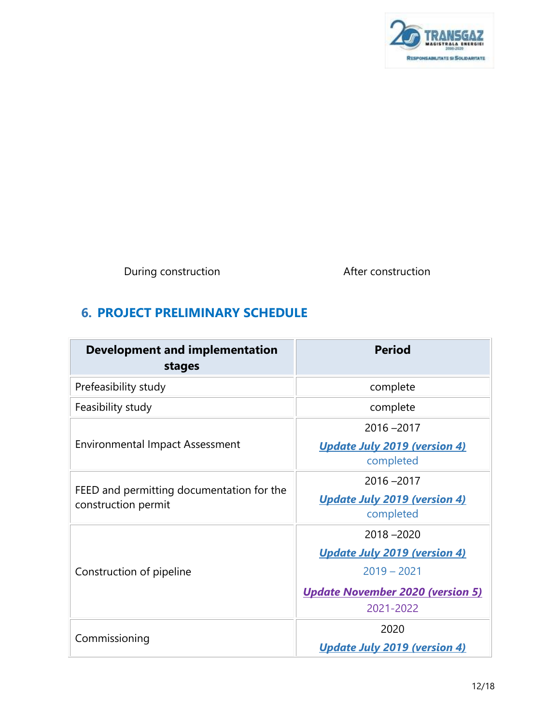

During construction and a set of the After construction

# <span id="page-11-0"></span>**6. PROJECT PRELIMINARY SCHEDULE**

| <b>Development and implementation</b><br>stages                  | <b>Period</b>                                    |
|------------------------------------------------------------------|--------------------------------------------------|
| Prefeasibility study                                             | complete                                         |
| Feasibility study                                                | complete                                         |
|                                                                  | $2016 - 2017$                                    |
| <b>Environmental Impact Assessment</b>                           | <b>Update July 2019 (version 4)</b><br>completed |
|                                                                  | $2016 - 2017$                                    |
| FEED and permitting documentation for the<br>construction permit | <b>Update July 2019 (version 4)</b><br>completed |
|                                                                  | $2018 - 2020$                                    |
|                                                                  | <b>Update July 2019 (version 4)</b>              |
| Construction of pipeline                                         | $2019 - 2021$                                    |
|                                                                  | <u><b>Update November 2020 (version 5)</b></u>   |
|                                                                  | 2021-2022                                        |
|                                                                  | 2020                                             |
| Commissioning                                                    | <b>Update July 2019 (version 4)</b>              |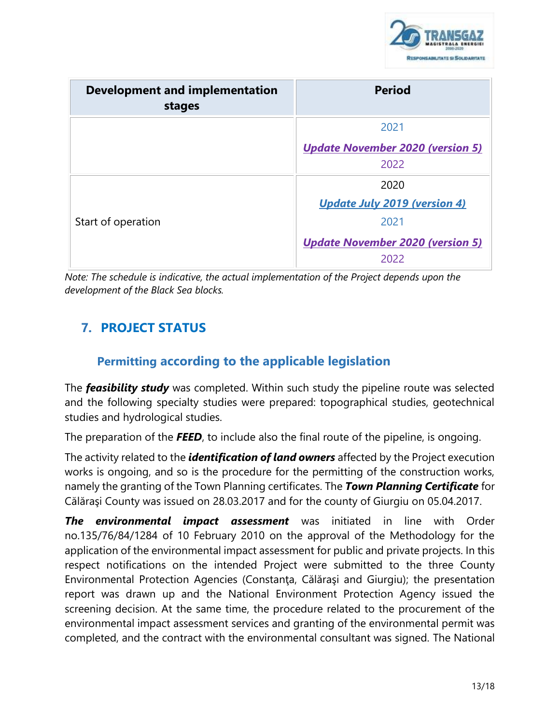

| <b>Development and implementation</b><br>stages | <b>Period</b>                           |
|-------------------------------------------------|-----------------------------------------|
|                                                 | 2021                                    |
|                                                 | <b>Update November 2020 (version 5)</b> |
|                                                 | 2022                                    |
|                                                 | 2020                                    |
|                                                 | <b>Update July 2019 (version 4)</b>     |
| Start of operation                              | 2021                                    |
|                                                 | <b>Update November 2020 (version 5)</b> |
|                                                 | 2022                                    |

*Note: The schedule is indicative, the actual implementation of the Project depends upon the development of the Black Sea blocks.*

# <span id="page-12-0"></span>**7. PROJECT STATUS**

# **Permitting according to the applicable legislation**

<span id="page-12-1"></span>The *feasibility study* was completed. Within such study the pipeline route was selected and the following specialty studies were prepared: topographical studies, geotechnical studies and hydrological studies.

<span id="page-12-2"></span>The preparation of the *FEED*, to include also the final route of the pipeline, is ongoing.

The activity related to the *identification of land owners* affected by the Project execution works is ongoing, and so is the procedure for the permitting of the construction works, namely the granting of the Town Planning certificates. The *Town Planning Certificate* for Călăraşi County was issued on 28.03.2017 and for the county of Giurgiu on 05.04.2017.

*The environmental impact assessment* was initiated in line with Order no.135/76/84/1284 of 10 February 2010 on the approval of the Methodology for the application of the environmental impact assessment for public and private projects. In this respect notifications on the intended Project were submitted to the three County Environmental Protection Agencies (Constanţa, Călăraşi and Giurgiu); the presentation report was drawn up and the National Environment Protection Agency issued the screening decision. At the same time, the procedure related to the procurement of the environmental impact assessment services and granting of the environmental permit was completed, and the contract with the environmental consultant was signed. The National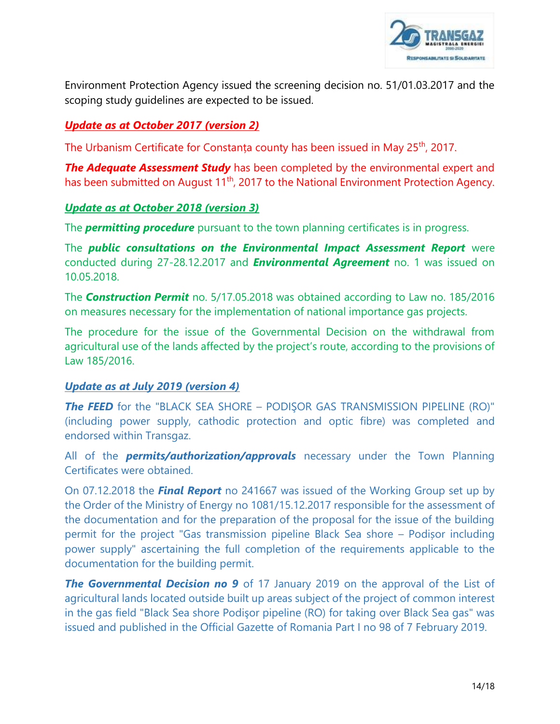

Environment Protection Agency issued the screening decision no. 51/01.03.2017 and the scoping study guidelines are expected to be issued.

# *Update as at October 2017 (version 2)*

The Urbanism Certificate for Constanța county has been issued in May 25<sup>th</sup>, 2017.

**The Adequate Assessment Study** has been completed by the environmental expert and has been submitted on August 11<sup>th</sup>, 2017 to the National Environment Protection Agency.

# *Update as at October 2018 (version 3)*

The *permitting procedure* pursuant to the town planning certificates is in progress.

The *public consultations on the Environmental Impact Assessment Report* were conducted during 27-28.12.2017 and *Environmental Agreement* no. 1 was issued on 10.05.2018.

The *Construction Permit* no. 5/17.05.2018 was obtained according to Law no. 185/2016 on measures necessary for the implementation of national importance gas projects.

The procedure for the issue of the Governmental Decision on the withdrawal from agricultural use of the lands affected by the project's route, according to the provisions of Law 185/2016.

### *Update as at July 2019 (version 4)*

*The FEED* for the "BLACK SEA SHORE – PODIŞOR GAS TRANSMISSION PIPELINE (RO)" (including power supply, cathodic protection and optic fibre) was completed and endorsed within Transgaz.

All of the *permits/authorization/approvals* necessary under the Town Planning Certificates were obtained.

On 07.12.2018 the *Final Report* no 241667 was issued of the Working Group set up by the Order of the Ministry of Energy no 1081/15.12.2017 responsible for the assessment of the documentation and for the preparation of the proposal for the issue of the building permit for the project "Gas transmission pipeline Black Sea shore – Podișor including power supply" ascertaining the full completion of the requirements applicable to the documentation for the building permit.

**The Governmental Decision no 9** of 17 January 2019 on the approval of the List of agricultural lands located outside built up areas subject of the project of common interest in the gas field "Black Sea shore Podişor pipeline (RO) for taking over Black Sea gas" was issued and published in the Official Gazette of Romania Part I no 98 of 7 February 2019.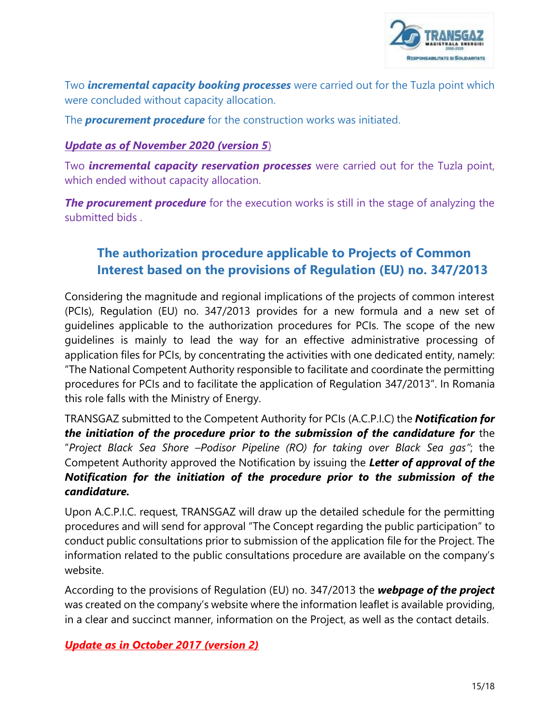

Two *incremental capacity booking processes* were carried out for the Tuzla point which were concluded without capacity allocation.

The *procurement procedure* for the construction works was initiated.

# *Update as of November 2020 (version 5*)

Two *incremental capacity reservation processes* were carried out for the Tuzla point, which ended without capacity allocation.

**The procurement procedure** for the execution works is still in the stage of analyzing the submitted bids .

# **The authorization procedure applicable to Projects of Common Interest based on the provisions of Regulation (EU) no. 347/2013**

Considering the magnitude and regional implications of the projects of common interest (PCIs), Regulation (EU) no. 347/2013 provides for a new formula and a new set of guidelines applicable to the authorization procedures for PCIs. The scope of the new guidelines is mainly to lead the way for an effective administrative processing of application files for PCIs, by concentrating the activities with one dedicated entity, namely: "The National Competent Authority responsible to facilitate and coordinate the permitting procedures for PCIs and to facilitate the application of Regulation 347/2013". In Romania this role falls with the Ministry of Energy.

TRANSGAZ submitted to the Competent Authority for PCIs (A.C.P.I.C) the *Notification for the initiation of the procedure prior to the submission of the candidature for* the "*Project Black Sea Shore –Podisor Pipeline (RO) for taking over Black Sea gas"*; the Competent Authority approved the Notification by issuing the *Letter of approval of the Notification for the initiation of the procedure prior to the submission of the candidature.*

Upon A.C.P.I.C. request, TRANSGAZ will draw up the detailed schedule for the permitting procedures and will send for approval "The Concept regarding the public participation" to conduct public consultations prior to submission of the application file for the Project. The information related to the public consultations procedure are available on the company's website.

According to the provisions of Regulation (EU) no. 347/2013 the *webpage of the project* was created on the company's website where the information leaflet is available providing, in a clear and succinct manner, information on the Project, as well as the contact details.

### *Update as in October 2017 (version 2)*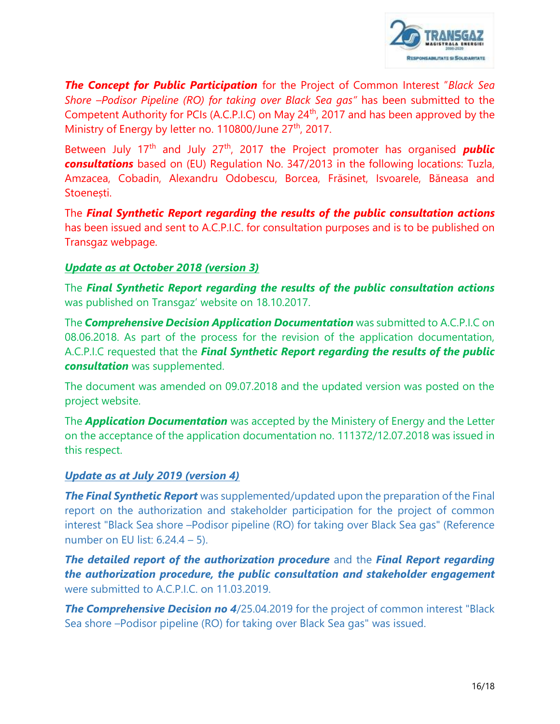

*The Concept for Public Participation* for the Project of Common Interest "*Black Sea Shore –Podisor Pipeline (RO) for taking over Black Sea gas"* has been submitted to the Competent Authority for PCIs (A.C.P.I.C) on May 24<sup>th</sup>, 2017 and has been approved by the Ministry of Energy by letter no. 110800/June 27<sup>th</sup>, 2017.

Between July 17<sup>th</sup> and July 27<sup>th</sup>, 2017 the Project promoter has organised *public consultations* based on (EU) Regulation No. 347/2013 in the following locations: Tuzla, Amzacea, Cobadin, Alexandru Odobescu, Borcea, Frăsinet, Isvoarele, Băneasa and Stoenești.

The *Final Synthetic Report regarding the results of the public consultation actions* has been issued and sent to A.C.P.I.C. for consultation purposes and is to be published on Transgaz webpage.

# *Update as at October 2018 (version 3)*

The *Final Synthetic Report regarding the results of the public consultation actions* was published on Transgaz' website on 18.10.2017.

The *Comprehensive Decision Application Documentation* was submitted to A.C.P.I.C on 08.06.2018. As part of the process for the revision of the application documentation, A.C.P.I.C requested that the *Final Synthetic Report regarding the results of the public consultation* was supplemented.

The document was amended on 09.07.2018 and the updated version was posted on the project website.

The *Application Documentation* was accepted by the Ministery of Energy and the Letter on the acceptance of the application documentation no. 111372/12.07.2018 was issued in this respect.

### *Update as at July 2019 (version 4)*

**The Final Synthetic Report** was supplemented/updated upon the preparation of the Final report on the authorization and stakeholder participation for the project of common interest "Black Sea shore –Podisor pipeline (RO) for taking over Black Sea gas" (Reference number on EU list: 6.24.4 – 5).

*The detailed report of the authorization procedure* and the *Final Report regarding the authorization procedure, the public consultation and stakeholder engagement* were submitted to A.C.P.I.C. on 11.03.2019.

**The Comprehensive Decision no 4**/25.04.2019 for the project of common interest "Black Sea shore –Podisor pipeline (RO) for taking over Black Sea gas" was issued.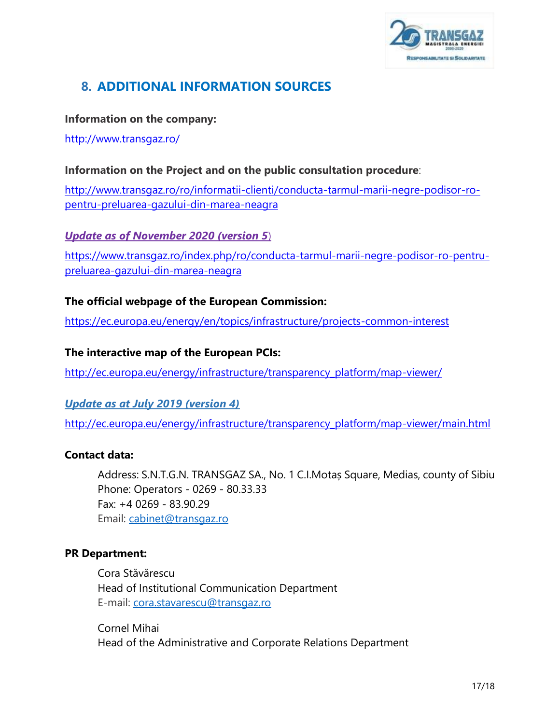

# <span id="page-16-0"></span>**8. ADDITIONAL INFORMATION SOURCES**

#### **Information on the company:**

<http://www.transgaz.ro/>

### **Information on the Project and on the public consultation procedure**:

[http://www.transgaz.ro/ro/informatii-clienti/conducta-tarmul-marii-negre-podisor-ro](http://www.transgaz.ro/ro/informatii-clienti/conducta-tarmul-marii-negre-podisor-ro-pentru-preluarea-gazului-din-marea-neagra)[pentru-preluarea-gazului-din-marea-neagra](http://www.transgaz.ro/ro/informatii-clienti/conducta-tarmul-marii-negre-podisor-ro-pentru-preluarea-gazului-din-marea-neagra)

### *Update as of November 2020 (version 5*)

https://www.transgaz.ro/index.php/ro/conducta-tarmul-marii-negre-podisor-ro-pentrupreluarea-gazului-din-marea-neagra

### **The official webpage of the European Commission:**

<https://ec.europa.eu/energy/en/topics/infrastructure/projects-common-interest>

#### **The interactive map of the European PCIs:**

[http://ec.europa.eu/energy/infrastructure/transparency\\_platform/map-viewer/](http://ec.europa.eu/energy/infrastructure/transparency_platform/map-viewer/)

### *Update as at July 2019 (version 4)*

http://ec.europa.eu/energy/infrastructure/transparency\_platform/map-viewer/main.html

#### **Contact data:**

Address: S.N.T.G.N. TRANSGAZ SA., No. 1 C.I.Motaș Square, Medias, county of Sibiu Phone: Operators - 0269 - 80.33.33 Fax: +4 0269 - 83.90.29 Email: [cabinet@transgaz.ro](mailto:cabinet@transgaz.ro)

#### **PR Department:**

Cora Stăvărescu Head of Institutional Communication Department E-mail: [cora.stavarescu@transgaz.ro](mailto:cora.stavarescu@transgaz.ro) 

Cornel Mihai Head of the Administrative and Corporate Relations Department